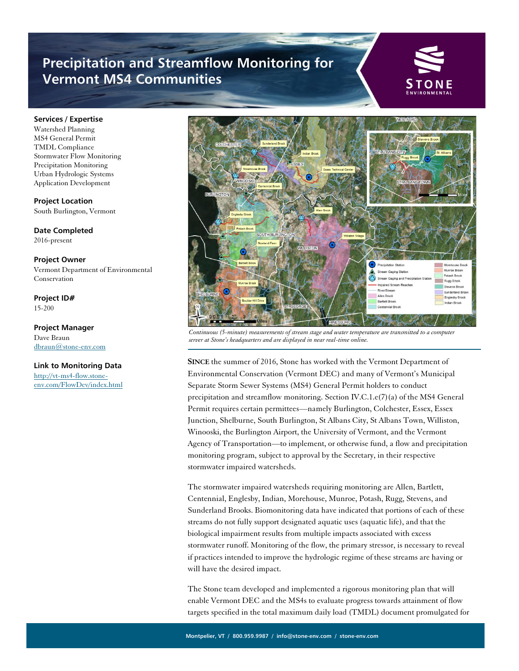## **Precipitation and Streamflow Monitoring for Vermont MS4 Communities**



## **Services / Expertise**

Watershed Planning MS4 General Permit TMDL Compliance Stormwater Flow Monitoring Precipitation Monitoring Urban Hydrologic Systems Application Development

**Project Location** South Burlington, Vermont

**Date Completed** 2016-present

**Project Owner** Vermont Department of Environmental Conservation

**Project ID#** 15-200

**Project Manager** Dave Braun [dbraun@stone-env.com](mailto:dbraun@stone-env.com)

## **Link to Monitoring Data**

[http://vt-ms4-flow.stone](http://vt-ms4-flow.stone-env.com/FlowDev/index.html)[env.com/FlowDev/index.html](http://vt-ms4-flow.stone-env.com/FlowDev/index.html)



*Continuous (5-minute) measurements of stream stage and water temperature are transmitted to a computer server at Stone's headquarters and are displayed in near real-time online.*

**SINCE** the summer of 2016, Stone has worked with the Vermont Department of Environmental Conservation (Vermont DEC) and many of Vermont's Municipal Separate Storm Sewer Systems (MS4) General Permit holders to conduct precipitation and streamflow monitoring. Section IV.C.1. $e(7)(a)$  of the MS4 General Permit requires certain permittees—namely Burlington, Colchester, Essex, Essex Junction, Shelburne, South Burlington, St Albans City, St Albans Town, Williston, Winooski, the Burlington Airport, the University of Vermont, and the Vermont Agency of Transportation—to implement, or otherwise fund, a flow and precipitation monitoring program, subject to approval by the Secretary, in their respective stormwater impaired watersheds.

The stormwater impaired watersheds requiring monitoring are Allen, Bartlett, Centennial, Englesby, Indian, Morehouse, Munroe, Potash, Rugg, Stevens, and Sunderland Brooks. Biomonitoring data have indicated that portions of each of these streams do not fully support designated aquatic uses (aquatic life), and that the biological impairment results from multiple impacts associated with excess stormwater runoff. Monitoring of the flow, the primary stressor, is necessary to reveal if practices intended to improve the hydrologic regime of these streams are having or will have the desired impact.

The Stone team developed and implemented a rigorous monitoring plan that will enable Vermont DEC and the MS4s to evaluate progress towards attainment of flow targets specified in the total maximum daily load (TMDL) document promulgated for